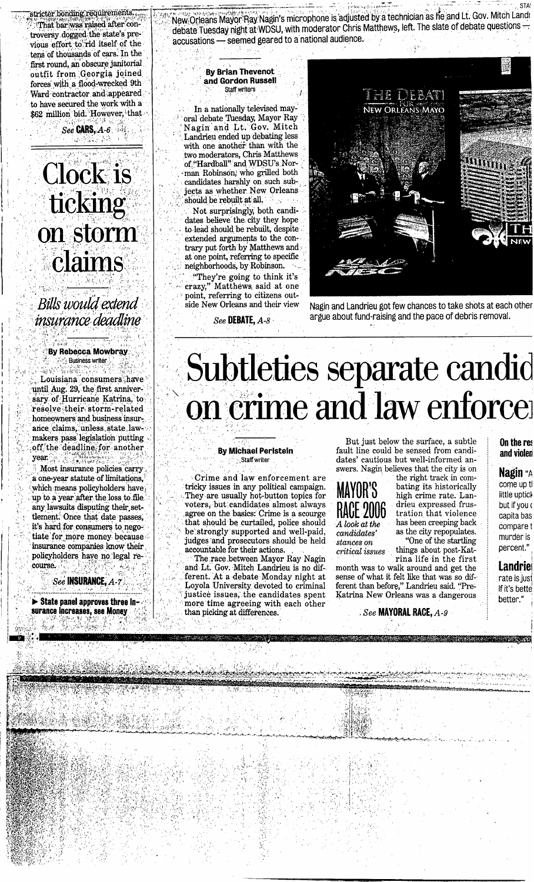tens of thousands of cars. In the first round, an obscure janitorial outfit from ,Georgia joined forces with a flood-wrecked 9th Ward contractor and appeared **to** have secured the work with a \$62 million bid. However, that **~?gc~t€!>y;\$\$&q~fm~y-**Inat bar was raised after controversy dogged the state's previous effort to rid itself of the

**CARS**, *A-6 hs* 

## **Clock** is ticking on storm claims

Bills would extend <sup>1</sup>*z'~ian~e~'&z'~ ,8* ,j , - **'/I e**  \ **<sup>5</sup>**

**1,.** /

**I** /

**zr/** 

### " **'By Rebecca Mowbray** , **<sup>i</sup>i** , ,: **Business writer** , : . \* . i **f.**  ,I **1.** , 1, '. , , , -1

**'ii i** , , '

, **I** 

 $\begin{bmatrix} 1 & 1 \\ 0 & 1 \end{bmatrix}$  . Louisiana consumers have until Aug. 29, the first anniver-<br>sary of Hurricane Katrina, to , 'resolve ,their storm-related homeowners and business insuroff the deadline for another year. **o,.,~,~,** . > ,-

**Proof** Most insurance policies carry , a one-year statute of limitations, which means policyholders have up to a year after the loss to file. any lawsuits disputing their set-<br>tlement. Once that date passes, it's hard for consumers to negotiate for more money because . insurance companies know their policyholders c -( havfj! no leg\* re- , ,. ! come. j. \* \ " **L''** . ,, . 'I;,

**See INSURANCE, A-7**<br>*See INSURANCE, A-7* 

**,** 

**b State panel approves three in-**<br> **Surance increases, see Money** 

**-2** [., -,\* **z!** %: , **b c. i,L\*,, y <sup>4</sup>**

*<u>live were also assumed to the microphone</u>* is adjusted by a technician as he and Lt. Gov. Mitch Landr New Orleans Mayor Ray Nagin's microphone is adjusted by a technician as he and Lt. Gov. Mitch Land1<br>1 debate Tuesday night at WDSU, with moderator Chris Matthews, left. The slate of debate questions New Orleans Mayor Hay Nagin's filter ophone is adjusted<br>debate Tuesday night at WDSU, with moderator Chris N<br>accusations — seemed geared to a national audience.

#### **<sup>I</sup>**, **By Brian Thevenot and Gordon Russell** , , Staff **writers** *<sup>I</sup>*

. In a nationally televised mayoral debate Tuesday, Mayor Ray Nagin and Lt. Gov. Mitch Landrieu ended up debating less with one another than with the two moderators, Chris Matthews<br>of "Hardball" and WDSU's Norman Robinson, who grilled both candidates harshly on such subjects as whether New Orleans should be rebuilt at all.

Not surprisingly, both candito lead should be rebuilt, despite extended arguments to the contrary put forth by Matthews and at one point, referring to specific<br>neighborhoods, by Robinson.

"They're going to think it's crazy," Matthews said at one point, referring to citizens out-<br>side New Orleans and their view



Nagin and Landrieu got few chances to take shots at each other *See* **DEBATE,** *A-8* argue about fund-raising and the pace of debris removal.

# $\text{Substituting $^{29$, the first amiver of Hurricane Katrims. Toany of Hurricane Katrims. tolarge 29, the first amiver of Rutrims. Tolarge Caltimicovian as a but a large number of aance clains, 'values, stars later. lawunder an as legilation putting$ ,

#### **By Michael Perlstein ,Staff writer**

Crime and law enforcement are<br>tricky issues in any political campaign. They are usually hot-button topics for voters, but candidates almost always agree on the basics: Crime is a scourge he strongly supported and well-paid, : judges 'and prosecutors should be held accountable for their actions. ,

and Lt. Gov. Mitch Landrieu is no different. At a debate Monday night at Loyola University devoted to criminal justice issues, the candidates spent more time agreeing with each other than picking at differences.

But just below the surface, a subtle fault line could be sensed from candidates' cautious but well-informed answers. Nagin believes that the city is on

high crime rate. Lan-

drieu expressed frus-

as the city repopulates.<br>
"One of the startling

### **MAYOR'S** the right track in com-<br>MAYOR'S bating its historically<br>high crime rate. Lan-**RACE 2006** drieu expressed frus-*A look at the* has been creeping back candidates' as the city repopulates.

*stances on* "One of the startling *critical* issues things about post-Kat-

rina life in the first month was to walk around and get the sense of what it felt like that was so different than before," Landrieu said. "Pre-Katrina New Orleans was a dangerous

. *See MAYORAL* **RACE,** *A-9* 

**On the rer and violen** 

> **Nagin** "A come up tl little uptick but if you ( capita bas compare t murder is percent."

**Landriel** rate is just If it's bette better."

**STANDARD**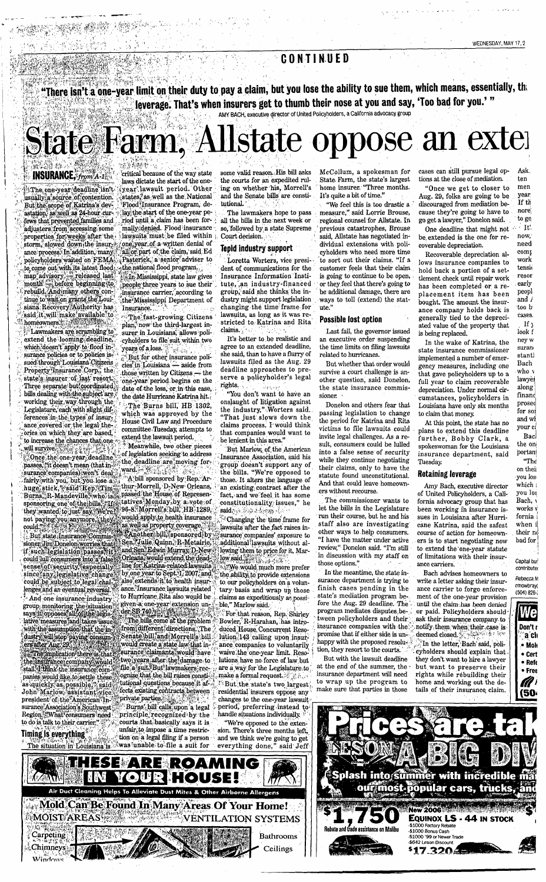### CONTINUED

"There isn't a one-year limit on their duty to pay a claim, but you lose the ability to sue them, which means, essentially, the leverage. That's when insurers get to thumb their nose at you and say, 'Too bad for you.'"

AMY BACH, executive director of United Policyholders, a California advocacy group

## State Farm, Allstate oppose an exter

### **INSURANCE**, from A-1

 $\sqrt{m_{\rm H}^2 + m_{\rm H}^2}$  ,  $\sqrt{m_{\rm H}^2 + m_{\rm H}^2}$ 

a tha bhaile ann an chomhaidh an chomhaidh ann an chomhaidh.<br>Tha bhaile an chomhaidh an chomhaidh an chomhaidh an chomhaidh an chomhaidh an chomhaidh an chomhaidh an chomh<br>Tha bhaile an chomhaidh an chomhaidh an chomhaidh

The one-year deadline isn't usually a source of contention. But the scope of Katrina's devastation, as well as 24-hour cur-<br>fews that prevented families and adjusters from accessing some properties for weeks after the ance process. In addition, many policyholders waited on FEMA. to come out with its latest flood map advisory released last<br>month - before beginning to month Sectore beginning to<br>rebuild Andimany others con-<br>tinue to wait on grants the Louisiana Recovery Authority has shall it will make available to

Lawmakers are scrambling to extend the looming deadline. which doesn't apply to flood in surance policies or to policies is-<br>sued through Louisiana Citizens Property Insurance Corp., the state's insurer of last resort. Three separate but coordinated bills dealing with the subject are<br>working their way through the Legislature, each with slight difences in the types of insurance covered or the legal the ories on which they are based, to increase the chances that one<br>will survive Once the one-year deadline passes, "it doesn't mean (that insurance companies) won't deal huge stick, "said Rep. Time" thur Morrell, D-New Orleans,<br>Burns, R-Mandeville, who is a passed the House of Represen-<br>sponsoring one of the bills, "If a tatives Monday by a vote of<br>they wanted to just say We rep. 96-8 Morr

could be subject to legal chal-And one insurance industry group monitoring the situation<br>says it opposes all of the legis and the same with the assumption that the in-<br>dustry will stop paying consum-<br>ers after Aug. 29

"The implication there is that the ansurance company would panies would like to settle the as quickly as possible," said president of the American Insurance Association's Southwest Region. "What consumers need to do is talk to their carrier."

Timing is everything The situation in Louisiana

 $\binom{5}{\text{Chimneys}}$ 

Carpeting New York The

critical because of the way state laws dictate the start of the oneyear lawsuit period. Other states, as well as the National Flood Insurance Program, delay the start of the one-year period until a claim has been formally denied. Flood insurance lawsuits must be filed within

<u>italia eta p</u>rofesioa

one year of a written denial of all or part of the claim, said Ed Pasterick, a senior adviser to the national flood program... In Mississippi, state law gives people three years to sue their insurance carrier, according to the Mississippi Department of Insurance.

The fast-growing Citizens plan, now the third-largest insurer in Louisiana, allows policyholders to file suit within two vears of a loss. But for other insurance poli-

cies<sup>?</sup>in Louisiana  $-$  aside from those written by Citizens - the one-year period begins on the date of the loss, or in this case, the date Hurricane Katrina hit.

The Burns bill, HB 1302, which was approved by the<br>House Civil Law and Procedure committee Tuesday, attempts to extend the lawsuit period.

Meanwhile, two other pieces of legislation seeking to address the deadline are moving forward - King

A bill sponsored by Rep. Arthur Morrell, D-New Orleans, not paying you anymore they would apply to health insurance<br>could "interest insurance" they would apply to health insurance<br>could "is tate Insurance Commis" well as property coverage.<br>Like Insurance Commis: "Earth and Sen, could juli consumers into a false of the could juli consumers into a false of the dead is enseigned to be a false the dead of the dead of the consumers into a false into the fact of the consumer of the consumer of the cons also extends it to health insur-Insurance lawsuits related anc to Hurricane Rita also would be given a one-year extension under SB 740<br>The bills come at the problem from different directions . The Senate bill and Morrell's hill would create a state law that insurance claimants would have two years after the damage to file a suit. But lawmakers recognize that the bill raises constitutional questions because it affects existing contracts between  $\frac{1}{2}$  private parties.

Burns' bill calls upon a legal principle recognized by the courts that basically says it is unfair to impose a time restric-

tion on a legal filing if a person<br>was unable to file a suit for

Air Duct Cleaning Helps To Alleviate Dust Mites & Other Airborne Allerge

THESE ARE ROAMING T

*IOUR HOUSE!!!* 

**NONES** 

some valid reason. His bill asks the courts for an expedited ruling on whether his, Morrell's and the Senate bills are constitutional.

rang<br>Kabupatèn Pang

The lawmakers hope to pass all the bills in the next week or so, followed by a state Supreme Court decision.

### Tepid industry support

Loretta Worters, vice president of communications for the Insurance Information Institute, an industry-financed group, said she thinks the industry might support legislation changing the time frame for lawsuits, as long as it was stricted to Katrina and Rita claims.

It's better to be realistic and agree to an extended deadline, she said, than to have a flurry of lawsuits filed as the Aug. 29 deadline approaches to preserve a policyholder's legal rights.

"You don't want to have an onslaught of litigation against<br>the industry," Worters said. "That just slows down the claims process. I would think that companies would want to be lenient in this area.'

But Marlow, of the American Insurance Association, said his group doesn't support any of the bills. "We're opposed to those. It alters the language of an existing contract after the fact, and we feel it has some constitutionality issues," he said. or the a beam of

Changing the time frame for<br>lawsuits after the fact raises insurance companies' exposure to additional lawsuits without allowing them to price for it, Mar- $\text{low said, }$ 

...<br>We would much more prefer the ability to provide extensions to our policyholders on a voluntarv basis and wrap up those claims as expeditiously as possible." Marlow said.

For that reason, Rep. Shirley Bowler, R-Harahan, has introduced House Concurrent Resolution 143 calling upon insurance companies to voluntarily waive the one-year limit. Reso lutions have no force of law but. are a way for the Legislature to make a formal request.  $\mathbb{Z}^n$  ,

But the state's two largest, residential insurers oppose any changes to the one-year lawsuit period, preferring instead to<br>handle situations individually.

"We're opposed to the extension. There's three months left. and we think we're going to get said Jeff everything done,

Ceilings

McCollum, a spokesman for State Farm, the state's largest<br>home insurer. "Three months. It's quite a bit of time.'

"We feel this is too drastic a measure," said Lorrie Brouse, regional counsel for Allstate. In previous catastrophes, Brouse said. Allstate has negotiated individual extensions with policyholders who need more time to sort out their claims. "If a customer feels that their claim is going to continue to be open, or they feel that there's going to be additional damage, there are ways to toll (extend) the statute.'

### Possible lost option

Last fall, the governor issued an executive order suspending the time limits on filing lawsuits related to hurricanes.

But whether that order would survive a court challenge is another question, said Donelon, the state insurance commissioner.

Donelon and others fear that passing legislation to change the period for Katrina and Rita victims to file lawsuits could invite legal challenges. As a result, consumers could be lulled into a false sense of security while they continue negotiating their claims, only to have the statute found unconstitutional. And that could leave homeowners without recourse.

The commissioner wants to let the bills in the Legislature run their course, but he and his staff also are investigating other ways to help consumers. "I have the matter under active review," Donelon said. "I'm still in discussion with my staff on<br>those options."

In the meantime, the state insurance department is trying to finish cases pending in the state's mediation program before the Aug. 29 deadline. The program mediates disputes between policyholders and their insurance companies with the promise that if either side is unhappy with the proposed resolution, they resort to the courts.

But with the lawsuit deadline

cases can still pursue legal options at the close of mediation.

WEDNESDAY, MAY 17.2

"Once we get to closer to Aug. 29, folks are going to be discouraged from mediation because they're going to have to go get a lawyer," Donelon said.

One deadline that might not be extended is the one for recoverable depreciation.

Recoverable depreciation allows insurance companies to hold back a portion of a settlement check until repair work has been completed or a replacement item has been bought. The amount the insurance company holds back is generally tied to the depreciated value of the property that is being replaced.

In the wake of Katrina, the state insurance commissioner implemented a number of emergency measures, including one that gave policyholders up to a full year to claim recoverable depreciation. Under normal circumstances, policyholders in Louisiana have only six months to claim that money.

At this point, the state has no plans to extend this deadline further, Bobby Clark, a spokeswoman for the Louisiana insurance department, said **Tuesday** 

### **Retaining leverage**

Amy Bach, executive director of United Policyholders, a California advocacy group that has<br>been working in insurance issues in Louisiana after Hurricane Katrina, said the safest course of action for homeowners is to start negotiating now to extend the one-year statute of limitations with their insurance carriers.

Bach advises homeowners to write a letter asking their insurance carrier to forgo enforcement of the one-year provision until the claim has been denied or paid. Policyholders should ask their insurance company to notify them when their case is deemed closed. હો કેટ લિપ In the letter, Bach said, poli-

cyholders should explain that they don't want to hire a lawyer but want to preserve their rights while rebuilding their me and working out the details of their insurance claim.





look f

ney w

suran

stantl

Bach

who v

lawye.

along

finano

prose

for sor

and wl

your ca

the on

portant

on their

vou los

which:

vou los

.<br>Bach. \

works v

fornia i

when i

their no

bad for

Canital bun

contributed

.<br>Rebecca M

 $(504) 826 -$ 

We

Don't r

 $^{\circ}$ a $^{\circ}$ chi

• Mok

 $\bullet$  Cert

 $\bullet$  Refe

• Free

a i

bray(

 $\text{m}$ 

Bac